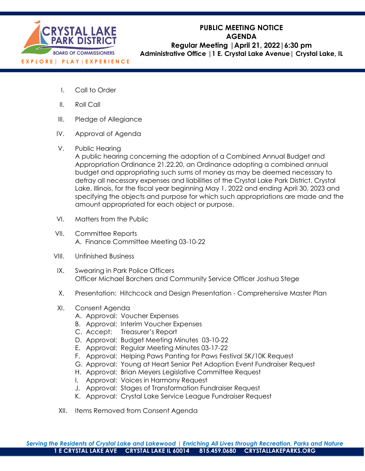

# **PUBLIC MEETING NOTICE AGENDA Regular Meeting |April 21, 2022|6:30 pm Administrative Office |1 E. Crystal Lake Avenue| Crystal Lake, IL**

- I. Call to Order
- II. Roll Call
- III. Pledge of Allegiance
- IV. Approval of Agenda
- V. Public Hearing

A public hearing concerning the adoption of a Combined Annual Budget and Appropriation Ordinance 21.22.20, an Ordinance adopting a combined annual budget and appropriating such sums of money as may be deemed necessary to defray all necessary expenses and liabilities of the Crystal Lake Park District, Crystal Lake, Illinois, for the fiscal year beginning May 1, 2022 and ending April 30, 2023 and specifying the objects and purpose for which such appropriations are made and the amount appropriated for each object or purpose.

- VI. Matters from the Public
- VII. Committee Reports A. Finance Committee Meeting 03-10-22
- VIII. Unfinished Business
- IX. Swearing in Park Police Officers Officer Michael Borchers and Community Service Officer Joshua Stege
- X. Presentation: Hitchcock and Design Presentation Comprehensive Master Plan
- XI. Consent Agenda
	- A. Approval: Voucher Expenses
	- B. Approval: Interim Voucher Expenses
	- C. Accept: Treasurer's Report
	- D. Approval: Budget Meeting Minutes 03-10-22
	- E. Approval: Regular Meeting Minutes 03-17-22
	- F. Approval: Helping Paws Panting for Paws Festival 5K/10K Request
	- G. Approval: Young at Heart Senior Pet Adoption Event Fundraiser Request
	- H. Approval: Brian Meyers Legislative Committee Request
	- I. Approval: Voices in Harmony Request
	- J. Approval: Stages of Transformation Fundraiser Request
	- K. Approval: Crystal Lake Service League Fundraiser Request
- XII. Items Removed from Consent Agenda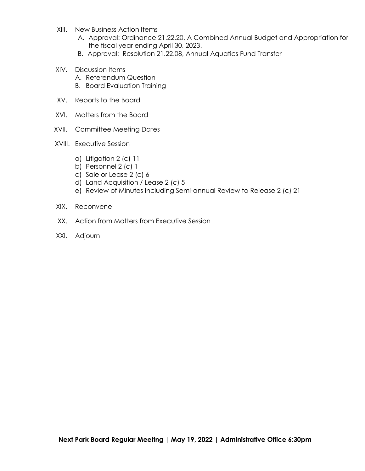- XIII. New Business Action Items
	- A. Approval: Ordinance 21.22.20, A Combined Annual Budget and Appropriation for the fiscal year ending April 30, 2023.
	- B. Approval: Resolution 21.22.08, Annual Aquatics Fund Transfer
- XIV. Discussion Items
	- A. Referendum Question
	- B. Board Evaluation Training
- XV. Reports to the Board
- XVI. Matters from the Board
- XVII. Committee Meeting Dates
- XVIII. Executive Session
	- a) Litigation 2 (c) 11
	- b) Personnel 2 (c) 1
	- c) Sale or Lease 2 (c) 6
	- d) Land Acquisition / Lease 2 (c) 5
	- e) Review of Minutes Including Semi-annual Review to Release 2 (c) 21
- XIX. Reconvene
- XX. Action from Matters from Executive Session
- XXI. Adjourn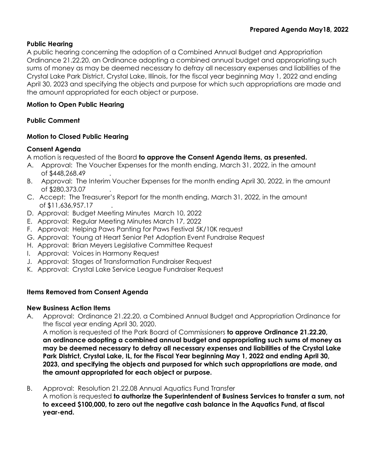## **Public Hearing**

A public hearing concerning the adoption of a Combined Annual Budget and Appropriation Ordinance 21.22.20, an Ordinance adopting a combined annual budget and appropriating such sums of money as may be deemed necessary to defray all necessary expenses and liabilities of the Crystal Lake Park District, Crystal Lake, Illinois, for the fiscal year beginning May 1, 2022 and ending April 30, 2023 and specifying the objects and purpose for which such appropriations are made and the amount appropriated for each object or purpose.

## **Motion to Open Public Hearing**

# **Public Comment**

## **Motion to Closed Public Hearing**

## **Consent Agenda**

A motion is requested of the Board **to approve the Consent Agenda items, as presented.**

- A. Approval: The Voucher Expenses for the month ending, March 31, 2022, in the amount of \$448,268.49 .
- B. Approval: The Interim Voucher Expenses for the month ending April 30, 2022, in the amount of \$280,373.07 .
- C. Accept: The Treasurer's Report for the month ending, March 31, 2022, in the amount of \$11,636,957.17
- D. Approval: Budget Meeting Minutes March 10, 2022
- E. Approval: Regular Meeting Minutes March 17, 2022
- F. Approval: Helping Paws Panting for Paws Festival 5K/10K request
- G. Approval: Young at Heart Senior Pet Adoption Event Fundraise Request
- H. Approval: Brian Meyers Legislative Committee Request
- I. Approval: Voices in Harmony Request
- J. Approval: Stages of Transformation Fundraiser Request
- K. Approval: Crystal Lake Service League Fundraiser Request

# **Items Removed from Consent Agenda**

## **New Business Action Items**

A. Approval: Ordinance 21.22.20, a Combined Annual Budget and Appropriation Ordinance for the fiscal year ending April 30, 2020.

A motion is requested of the Park Board of Commissioners **to approve Ordinance 21.22.20, an ordinance adopting a combined annual budget and appropriating such sums of money as may be deemed necessary to defray all necessary expenses and liabilities of the Crystal Lake Park District, Crystal Lake, IL, for the Fiscal Year beginning May 1, 2022 and ending April 30, 2023, and specifying the objects and purposed for which such appropriations are made, and the amount appropriated for each object or purpose.**

B. Approval: Resolution 21.22.08 Annual Aquatics Fund Transfer

A motion is requested **to authorize the Superintendent of Business Services to transfer a sum, not to exceed \$100,000, to zero out the negative cash balance in the Aquatics Fund, at fiscal year-end.**